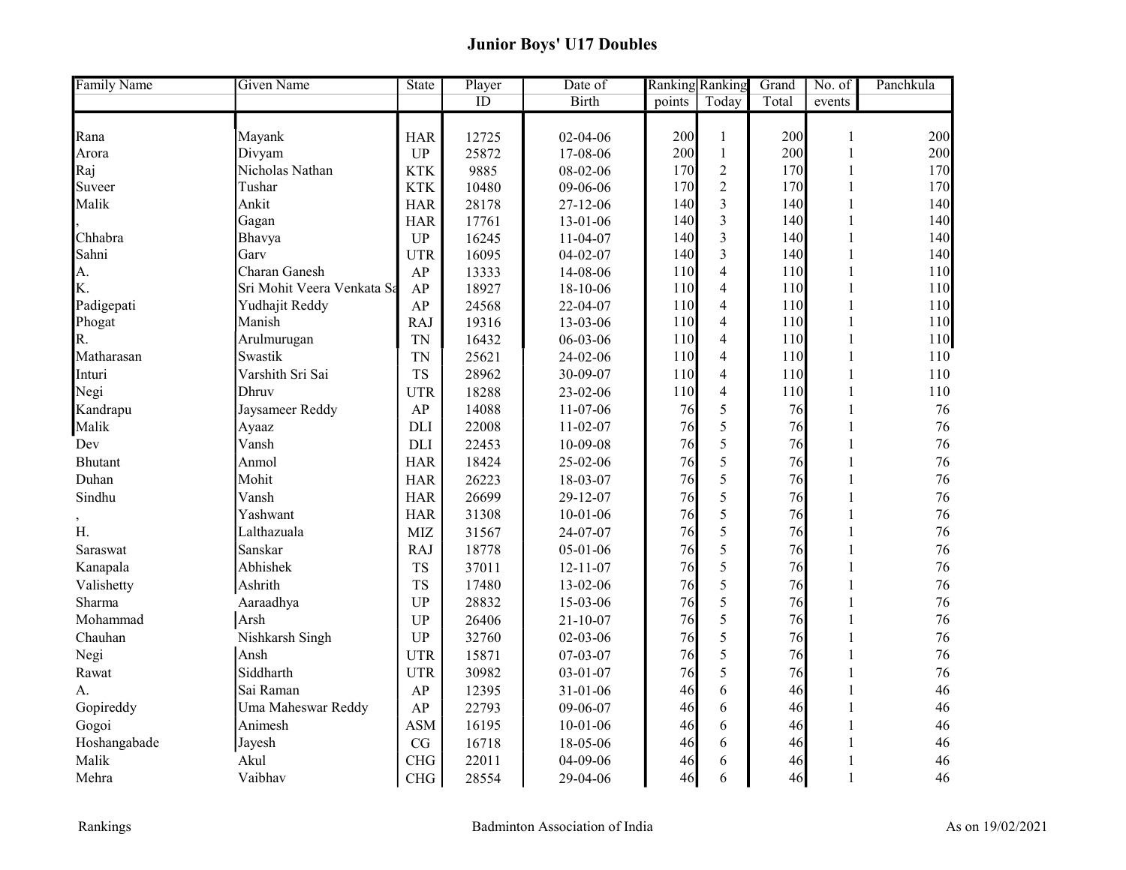## Junior Boys' U17 Doubles

| <b>Family Name</b><br><b>Given Name</b> | <b>State</b> | Player | Date of        | <b>Ranking Ranking</b> |                          | Grand | No. of       | Panchkula |
|-----------------------------------------|--------------|--------|----------------|------------------------|--------------------------|-------|--------------|-----------|
|                                         |              | ID     | <b>Birth</b>   | points                 | Today                    | Total | events       |           |
|                                         |              |        |                |                        |                          |       |              |           |
| Mayank<br>Rana                          | <b>HAR</b>   | 12725  | 02-04-06       | 200                    | $\mathbf{1}$             | 200   | 1            | 200       |
| Divyam<br>Arora                         | <b>UP</b>    | 25872  | 17-08-06       | 200                    | $\mathbf{1}$             | 200   | $\mathbf{1}$ | 200       |
| Nicholas Nathan<br>Raj                  | <b>KTK</b>   | 9885   | 08-02-06       | 170                    | $\overline{2}$           | 170   | $\mathbf{1}$ | 170       |
| Tushar<br>Suveer                        | <b>KTK</b>   | 10480  | 09-06-06       | 170                    | $\overline{2}$           | 170   | $\mathbf{1}$ | 170       |
| Malik<br>Ankit                          | <b>HAR</b>   | 28178  | 27-12-06       | 140                    | $\overline{3}$           | 140   | $\mathbf{1}$ | 140       |
| Gagan                                   | <b>HAR</b>   | 17761  | 13-01-06       | 140                    | 3                        | 140   | $\mathbf{1}$ | 140       |
| Chhabra<br>Bhavya                       | UP           | 16245  | $11-04-07$     | 140                    | $\overline{3}$           | 140   | 1            | 140       |
| Sahni<br>Garv                           | <b>UTR</b>   | 16095  | $04 - 02 - 07$ | 140                    | $\overline{3}$           | 140   | $\mathbf{1}$ | 140       |
| Charan Ganesh<br>A.                     | AP           | 13333  | 14-08-06       | 110                    | $\overline{4}$           | 110   | 1            | 110       |
| K.<br>Sri Mohit Veera Venkata Sa        | AP           | 18927  | 18-10-06       | 110                    | $\overline{4}$           | 110   | $\mathbf{1}$ | 110       |
| Padigepati<br>Yudhajit Reddy            | AP           | 24568  | 22-04-07       | 110                    | $\overline{4}$           | 110   | $\mathbf{1}$ | 110       |
| Manish<br>Phogat                        | <b>RAJ</b>   | 19316  | 13-03-06       | 110                    | $\overline{4}$           | 110   | $\mathbf 1$  | 110       |
| Arulmurugan<br>R.                       | <b>TN</b>    | 16432  | 06-03-06       | 110                    | $\overline{4}$           | 110   | $\mathbf{1}$ | 110       |
| Swastik<br>Matharasan                   | <b>TN</b>    | 25621  | 24-02-06       | 110                    | $\overline{4}$           | 110   | 1            | 110       |
| Varshith Sri Sai<br>Inturi              | <b>TS</b>    | 28962  | 30-09-07       | 110                    | $\overline{\mathcal{L}}$ | 110   | $\mathbf 1$  | 110       |
| Negi<br><b>Dhruv</b>                    | <b>UTR</b>   | 18288  | 23-02-06       | 110                    | $\overline{4}$           | 110   | $\mathbf{1}$ | 110       |
| Kandrapu<br>Jaysameer Reddy             | AP           | 14088  | 11-07-06       | 76                     | 5                        | 76    | 1            | 76        |
| Malik<br>Ayaaz                          | DLI          | 22008  | $11-02-07$     | 76                     | 5                        | 76    |              | 76        |
| Vansh<br>Dev                            | <b>DLI</b>   | 22453  | 10-09-08       | 76                     | 5                        | 76    | $\mathbf{1}$ | 76        |
| <b>Bhutant</b><br>Anmol                 | <b>HAR</b>   | 18424  | 25-02-06       | 76                     | 5                        | 76    | $\mathbf{1}$ | 76        |
| Duhan<br>Mohit                          | <b>HAR</b>   | 26223  | 18-03-07       | 76                     | 5                        | 76    | 1            | 76        |
| Sindhu<br>Vansh                         | <b>HAR</b>   | 26699  | 29-12-07       | 76                     | 5                        | 76    | $\mathbf{1}$ | 76        |
| Yashwant                                | <b>HAR</b>   | 31308  | $10-01-06$     | 76                     | 5                        | 76    | $\mathbf{1}$ | 76        |
| H.<br>Lalthazuala                       | <b>MIZ</b>   | 31567  | 24-07-07       | 76                     | 5                        | 76    | 1            | 76        |
| Sanskar<br>Saraswat                     | <b>RAJ</b>   | 18778  | $05-01-06$     | 76                     | 5                        | 76    | $\mathbf{1}$ | 76        |
| Abhishek<br>Kanapala                    | <b>TS</b>    | 37011  | $12 - 11 - 07$ | 76                     | 5                        | 76    | $\mathbf{1}$ | 76        |
| Valishetty<br>Ashrith                   | <b>TS</b>    | 17480  | 13-02-06       | 76                     | 5                        | 76    | 1            | 76        |
| Sharma<br>Aaraadhya                     | <b>UP</b>    | 28832  | 15-03-06       | 76                     | 5                        | 76    | 1            | 76        |
| Arsh<br>Mohammad                        | <b>UP</b>    | 26406  | $21 - 10 - 07$ | 76                     | 5                        | 76    | $\mathbf{1}$ | 76        |
| Nishkarsh Singh<br>Chauhan              | UP           | 32760  | $02 - 03 - 06$ | 76                     | 5                        | 76    | $\mathbf{1}$ | 76        |
| Ansh<br>Negi                            | <b>UTR</b>   | 15871  | 07-03-07       | 76                     | 5                        | 76    |              | 76        |
| Siddharth<br>Rawat                      | <b>UTR</b>   | 30982  | $03 - 01 - 07$ | 76                     | 5                        | 76    | $\mathbf{1}$ | 76        |
| Sai Raman<br>А.                         | AP           | 12395  | $31 - 01 - 06$ | 46                     | 6                        | 46    | $\mathbf{1}$ | 46        |
| Gopireddy<br>Uma Maheswar Reddy         | AP           | 22793  | 09-06-07       | 46                     | 6                        | 46    |              | 46        |
| Gogoi<br>Animesh                        | <b>ASM</b>   | 16195  | $10 - 01 - 06$ | 46                     | 6                        | 46    |              | 46        |
| Hoshangabade<br>Jayesh                  | CG           | 16718  | 18-05-06       | 46                     | 6                        | 46    | 1            | 46        |
| Malik<br>Akul                           | <b>CHG</b>   | 22011  | 04-09-06       | 46                     | 6                        | 46    |              | 46        |
| Vaibhav<br>Mehra                        | CHG          | 28554  | 29-04-06       | 46                     | 6                        | 46    | $\mathbf{1}$ | 46        |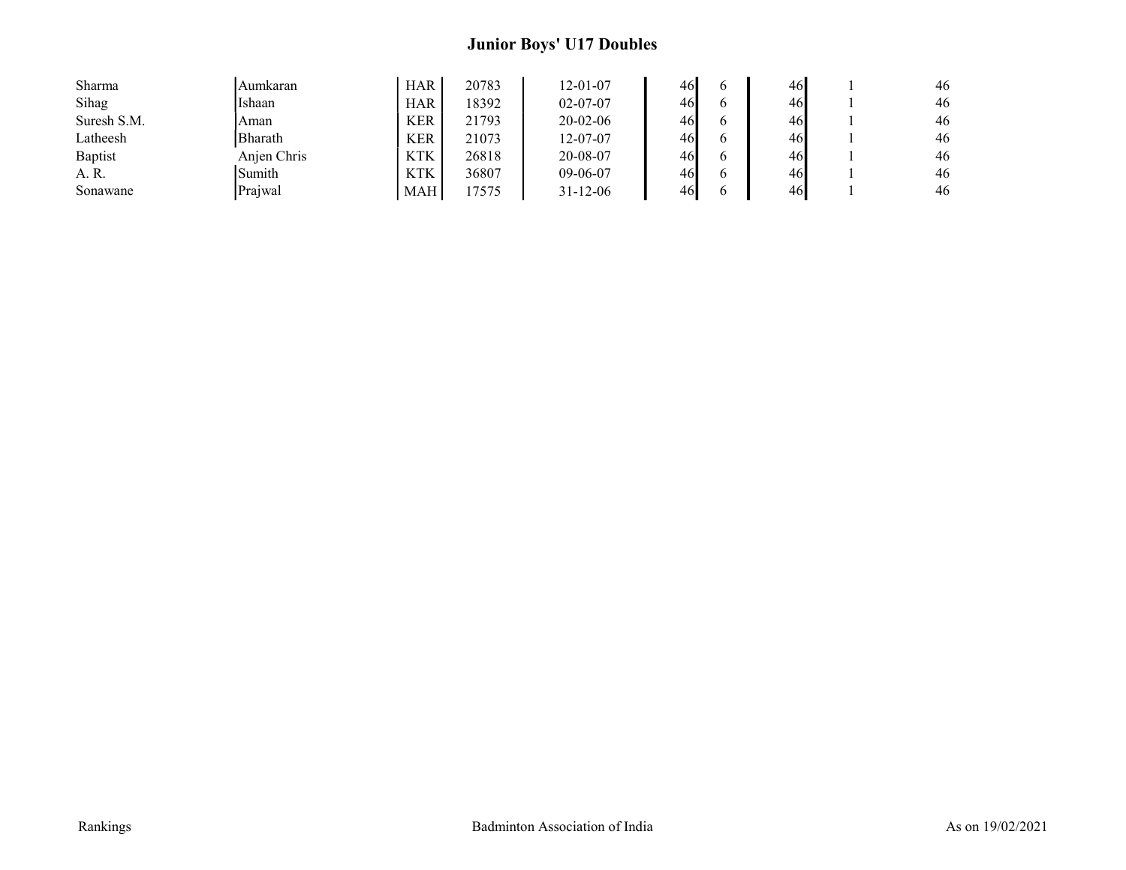## Junior Boys' U17 Doubles

| Sharma      | Aumkaran       | <b>HAR</b> | 20783 | 12-01-07       | 46 | 46 | 46 |
|-------------|----------------|------------|-------|----------------|----|----|----|
| Sihag       | Ishaan         | <b>HAR</b> | 18392 | $02 - 07 - 07$ | 46 | 46 | 46 |
| Suresh S.M. | Aman           | <b>KER</b> | 21793 | $20 - 02 - 06$ | 46 | 46 | 46 |
| Latheesh    | <b>Bharath</b> | <b>KER</b> | 21073 | 12-07-07       | 46 | 46 | 46 |
| Baptist     | Anien Chris    | <b>KTK</b> | 26818 | 20-08-07       | 46 | 46 | 46 |
| A. R.       | Sumith         | <b>KTK</b> | 36807 | $09-06-07$     | 46 | 46 | 46 |
| Sonawane    | Prajwal        | <b>MAH</b> | 7575  | $31 - 12 - 06$ | 46 | 46 | 46 |